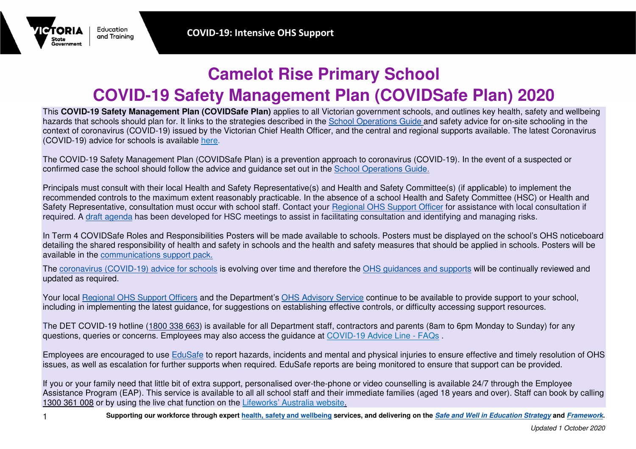## **Camelot Rise Primary School COVID-19 Safety Management Plan (COVIDSafe Plan) 2020**

 This **COVID-19 Safety Management Plan (COVIDSafe Plan)** applies to all Victorian government schools, and outlines key health, safety and wellbeing hazards that schools should plan for. It links to the strategies described in the School Operations Guide and safety advice for on-site schooling in the context of coronavirus (COVID-19) issued by the Victorian Chief Health Officer, and the central and regional supports available. The latest Coronavirus (COVID-19) advice for schools is available here.

The COVID-19 Safety Management Plan (COVIDSafe Plan) is a prevention approach to coronavirus (COVID-19). In the event of a suspected or confirmed case the school should follow the advice and guidance set out in the School Operations Guide.

Principals must consult with their local Health and Safety Representative(s) and Health and Safety Committee(s) (if applicable) to implement the recommended controls to the maximum extent reasonably practicable. In the absence of a school Health and Safety Committee (HSC) or Health and Safety Representative, consultation must occur with school staff. Contact your Regional OHS Support Officer for assistance with local consultation if required. A draft agenda has been developed for HSC meetings to assist in facilitating consultation and identifying and managing risks.

In Term 4 COVIDSafe Roles and Responsibilities Posters will be made available to schools. Posters must be displayed on the school's OHS noticeboard detailing the shared responsibility of health and safety in schools and the health and safety measures that should be applied in schools. Posters will beavailable in the communications support pack.

The coronavirus (COVID-19) advice for schools is evolving over time and therefore the OHS guidances and supports will be continually reviewed and updated as required.

Your local Regional OHS Support Officers and the Department's OHS Advisory Service continue to be available to provide support to your school, including in implementing the latest guidance, for suggestions on establishing effective controls, or difficulty accessing support resources.

The DET COVID-19 hotline (1800 338 663) is available for all Department staff, contractors and parents (8am to 6pm Monday to Sunday) for anyquestions, queries or concerns. Employees may also access the guidance at COVID-19 Advice Line - FAQs .

Employees are encouraged to use EduSafe to report hazards, incidents and mental and physical injuries to ensure effective and timely resolution of OHS issues, as well as escalation for further supports when required. EduSafe reports are being monitored to ensure that support can be provided.

If you or your family need that little bit of extra support, personalised over-the-phone or video counselling is available 24/7 through the Employee Assistance Program (EAP). This service is available to all all school staff and their immediate families (aged 18 years and over). Staff can book by calling 1300 361 008 or by using the live chat function on the <u>Lifeworks' Australia website.</u>

Education

and Trainina

**МАРИ** 

State Government

**Supporting our workforce through expert health, safety and wellbeing services, and delivering on the Safe and Well in Education Strategy and Framework.**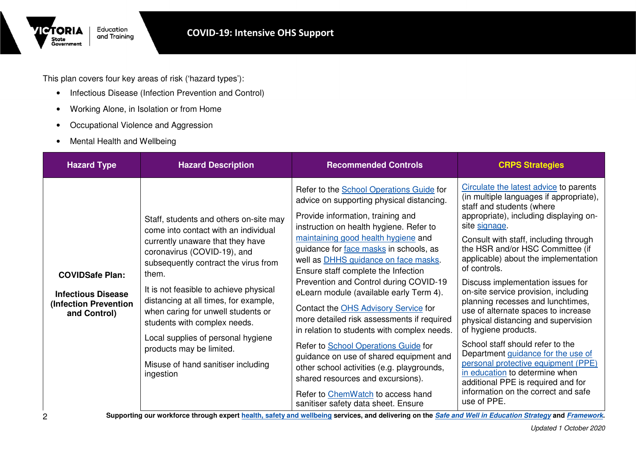This plan covers four key areas of risk ('hazard types'):

- Infectious Disease (Infection Prevention and Control)
- Working Alone, in Isolation or from Home
- Occupational Violence and Aggression
- Mental Health and Wellbeing

Education

and Training

**TORIA** 

State<br>Government

| <b>Hazard Type</b>                                                                           | <b>Hazard Description</b>                                                                                                                                                                                                                                                                                                                                                                                                                                                        | <b>Recommended Controls</b>                                                                                                                                                                                                                                                                                                                                                                                                                                                                                                                                                                                                                                                                                                                                                                                              | <b>CRPS Strategies</b>                                                                                                                                                                                                                                                                                                                                                                                                                                                                                                                                                                                                                                                                                                                                                                |
|----------------------------------------------------------------------------------------------|----------------------------------------------------------------------------------------------------------------------------------------------------------------------------------------------------------------------------------------------------------------------------------------------------------------------------------------------------------------------------------------------------------------------------------------------------------------------------------|--------------------------------------------------------------------------------------------------------------------------------------------------------------------------------------------------------------------------------------------------------------------------------------------------------------------------------------------------------------------------------------------------------------------------------------------------------------------------------------------------------------------------------------------------------------------------------------------------------------------------------------------------------------------------------------------------------------------------------------------------------------------------------------------------------------------------|---------------------------------------------------------------------------------------------------------------------------------------------------------------------------------------------------------------------------------------------------------------------------------------------------------------------------------------------------------------------------------------------------------------------------------------------------------------------------------------------------------------------------------------------------------------------------------------------------------------------------------------------------------------------------------------------------------------------------------------------------------------------------------------|
| <b>COVIDSafe Plan:</b><br><b>Infectious Disease</b><br>(Infection Prevention<br>and Control) | Staff, students and others on-site may<br>come into contact with an individual<br>currently unaware that they have<br>coronavirus (COVID-19), and<br>subsequently contract the virus from<br>them.<br>It is not feasible to achieve physical<br>distancing at all times, for example,<br>when caring for unwell students or<br>students with complex needs.<br>Local supplies of personal hygiene<br>products may be limited.<br>Misuse of hand sanitiser including<br>ingestion | Refer to the School Operations Guide for<br>advice on supporting physical distancing.<br>Provide information, training and<br>instruction on health hygiene. Refer to<br>maintaining good health hygiene and<br>guidance for face masks in schools, as<br>well as <b>DHHS</b> guidance on face masks.<br>Ensure staff complete the Infection<br>Prevention and Control during COVID-19<br>eLearn module (available early Term 4).<br>Contact the OHS Advisory Service for<br>more detailed risk assessments if required<br>in relation to students with complex needs.<br>Refer to School Operations Guide for<br>guidance on use of shared equipment and<br>other school activities (e.g. playgrounds,<br>shared resources and excursions).<br>Refer to ChemWatch to access hand<br>sanitiser safety data sheet. Ensure | Circulate the latest advice to parents<br>(in multiple languages if appropriate),<br>staff and students (where<br>appropriate), including displaying on-<br>site signage.<br>Consult with staff, including through<br>the HSR and/or HSC Committee (if<br>applicable) about the implementation<br>of controls.<br>Discuss implementation issues for<br>on-site service provision, including<br>planning recesses and lunchtimes,<br>use of alternate spaces to increase<br>physical distancing and supervision<br>of hygiene products.<br>School staff should refer to the<br>Department guidance for the use of<br>personal protective equipment (PPE)<br>in education to determine when<br>additional PPE is required and for<br>information on the correct and safe<br>use of PPE. |

**Supporting our workforce through expert health, safety and wellbeing services, and delivering on the Safe and Well in Education Strategy and Framework.**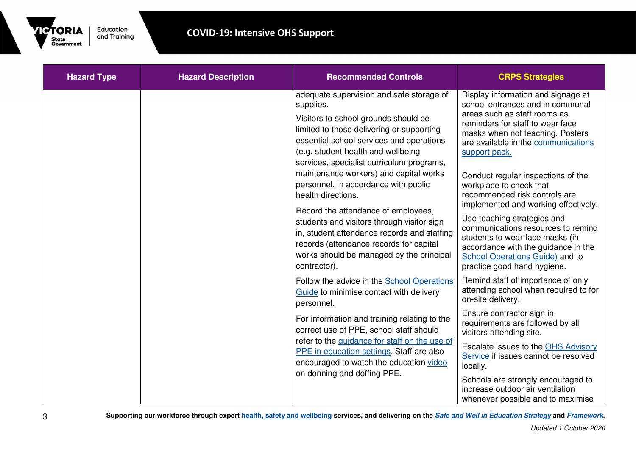

| <b>Hazard Type</b> | <b>Hazard Description</b> | <b>Recommended Controls</b>                                                                                                                                                                                                                                                                                                                                                                                                                                                                                                                                                                                                  | <b>CRPS Strategies</b>                                                                                                                                                                                                                                                                                                                                                                                                                                                                                                                                                                            |
|--------------------|---------------------------|------------------------------------------------------------------------------------------------------------------------------------------------------------------------------------------------------------------------------------------------------------------------------------------------------------------------------------------------------------------------------------------------------------------------------------------------------------------------------------------------------------------------------------------------------------------------------------------------------------------------------|---------------------------------------------------------------------------------------------------------------------------------------------------------------------------------------------------------------------------------------------------------------------------------------------------------------------------------------------------------------------------------------------------------------------------------------------------------------------------------------------------------------------------------------------------------------------------------------------------|
|                    |                           | adequate supervision and safe storage of<br>supplies.<br>Visitors to school grounds should be<br>limited to those delivering or supporting<br>essential school services and operations<br>(e.g. student health and wellbeing<br>services, specialist curriculum programs,<br>maintenance workers) and capital works<br>personnel, in accordance with public<br>health directions.<br>Record the attendance of employees,<br>students and visitors through visitor sign<br>in, student attendance records and staffing<br>records (attendance records for capital<br>works should be managed by the principal<br>contractor). | Display information and signage at<br>school entrances and in communal<br>areas such as staff rooms as<br>reminders for staff to wear face<br>masks when not teaching. Posters<br>are available in the communications<br>support pack.<br>Conduct regular inspections of the<br>workplace to check that<br>recommended risk controls are<br>implemented and working effectively.<br>Use teaching strategies and<br>communications resources to remind<br>students to wear face masks (in<br>accordance with the guidance in the<br>School Operations Guide) and to<br>practice good hand hygiene. |
|                    |                           | Follow the advice in the School Operations<br>Guide to minimise contact with delivery<br>personnel.<br>For information and training relating to the<br>correct use of PPE, school staff should<br>refer to the guidance for staff on the use of                                                                                                                                                                                                                                                                                                                                                                              | Remind staff of importance of only<br>attending school when required to for<br>on-site delivery.<br>Ensure contractor sign in<br>requirements are followed by all<br>visitors attending site.<br>Escalate issues to the OHS Advisory                                                                                                                                                                                                                                                                                                                                                              |
|                    |                           | PPE in education settings. Staff are also<br>encouraged to watch the education video<br>on donning and doffing PPE.                                                                                                                                                                                                                                                                                                                                                                                                                                                                                                          | Service if issues cannot be resolved<br>locally.<br>Schools are strongly encouraged to<br>increase outdoor air ventilation<br>whenever possible and to maximise                                                                                                                                                                                                                                                                                                                                                                                                                                   |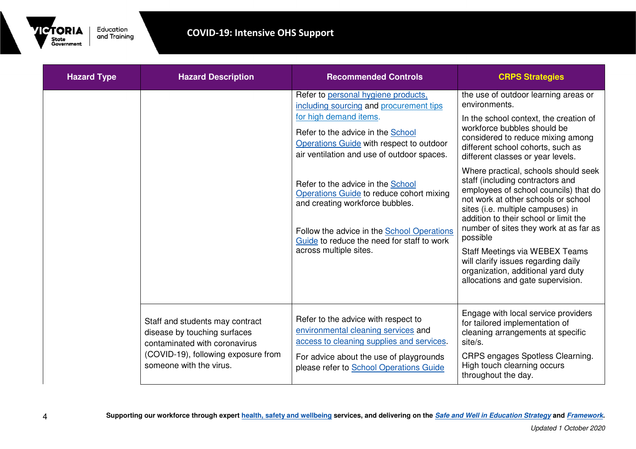

| <b>Hazard Type</b> | <b>Hazard Description</b>                                                                                                                                          | <b>Recommended Controls</b>                                                                                                                                                                                                                                                                                                                                                                                                                                                       | <b>CRPS Strategies</b>                                                                                                                                                                                                                                                                                                                                                                                                                                                                                                                                                                                                                                                                            |
|--------------------|--------------------------------------------------------------------------------------------------------------------------------------------------------------------|-----------------------------------------------------------------------------------------------------------------------------------------------------------------------------------------------------------------------------------------------------------------------------------------------------------------------------------------------------------------------------------------------------------------------------------------------------------------------------------|---------------------------------------------------------------------------------------------------------------------------------------------------------------------------------------------------------------------------------------------------------------------------------------------------------------------------------------------------------------------------------------------------------------------------------------------------------------------------------------------------------------------------------------------------------------------------------------------------------------------------------------------------------------------------------------------------|
|                    |                                                                                                                                                                    | Refer to personal hygiene products.<br>including sourcing and procurement tips<br>for high demand items.<br>Refer to the advice in the School<br>Operations Guide with respect to outdoor<br>air ventilation and use of outdoor spaces.<br>Refer to the advice in the School<br>Operations Guide to reduce cohort mixing<br>and creating workforce bubbles.<br>Follow the advice in the School Operations<br>Guide to reduce the need for staff to work<br>across multiple sites. | the use of outdoor learning areas or<br>environments.<br>In the school context, the creation of<br>workforce bubbles should be<br>considered to reduce mixing among<br>different school cohorts, such as<br>different classes or year levels.<br>Where practical, schools should seek<br>staff (including contractors and<br>employees of school councils) that do<br>not work at other schools or school<br>sites (i.e. multiple campuses) in<br>addition to their school or limit the<br>number of sites they work at as far as<br>possible<br>Staff Meetings via WEBEX Teams<br>will clarify issues regarding daily<br>organization, additional yard duty<br>allocations and gate supervision. |
|                    | Staff and students may contract<br>disease by touching surfaces<br>contaminated with coronavirus<br>(COVID-19), following exposure from<br>someone with the virus. | Refer to the advice with respect to<br>environmental cleaning services and<br>access to cleaning supplies and services.<br>For advice about the use of playgrounds<br>please refer to School Operations Guide                                                                                                                                                                                                                                                                     | Engage with local service providers<br>for tailored implementation of<br>cleaning arrangements at specific<br>site/s.<br>CRPS engages Spotless Clearning.<br>High touch clearning occurs<br>throughout the day.                                                                                                                                                                                                                                                                                                                                                                                                                                                                                   |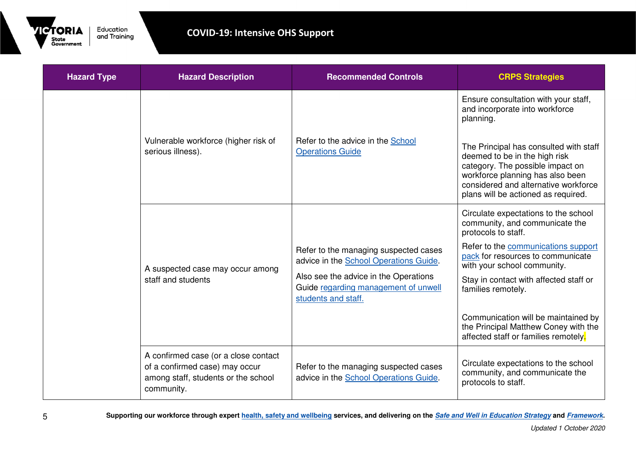

| <b>Hazard Type</b> | <b>Hazard Description</b>                                                                                                   | <b>Recommended Controls</b>                                                                          | <b>CRPS Strategies</b>                                                                                                                                                                                                         |
|--------------------|-----------------------------------------------------------------------------------------------------------------------------|------------------------------------------------------------------------------------------------------|--------------------------------------------------------------------------------------------------------------------------------------------------------------------------------------------------------------------------------|
|                    | Vulnerable workforce (higher risk of<br>serious illness).                                                                   | Refer to the advice in the School<br><b>Operations Guide</b>                                         | Ensure consultation with your staff,<br>and incorporate into workforce<br>planning.                                                                                                                                            |
|                    |                                                                                                                             |                                                                                                      | The Principal has consulted with staff<br>deemed to be in the high risk<br>category. The possible impact on<br>workforce planning has also been<br>considered and alternative workforce<br>plans will be actioned as required. |
|                    | A suspected case may occur among<br>staff and students                                                                      |                                                                                                      | Circulate expectations to the school<br>community, and communicate the<br>protocols to staff.                                                                                                                                  |
|                    |                                                                                                                             | Refer to the managing suspected cases<br>advice in the School Operations Guide.                      | Refer to the communications support<br>pack for resources to communicate<br>with your school community.                                                                                                                        |
|                    |                                                                                                                             | Also see the advice in the Operations<br>Guide regarding management of unwell<br>students and staff. | Stay in contact with affected staff or<br>families remotely.                                                                                                                                                                   |
|                    |                                                                                                                             |                                                                                                      | Communication will be maintained by<br>the Principal Matthew Coney with the<br>affected staff or families remotely.                                                                                                            |
|                    | A confirmed case (or a close contact<br>of a confirmed case) may occur<br>among staff, students or the school<br>community. | Refer to the managing suspected cases<br>advice in the School Operations Guide.                      | Circulate expectations to the school<br>community, and communicate the<br>protocols to staff.                                                                                                                                  |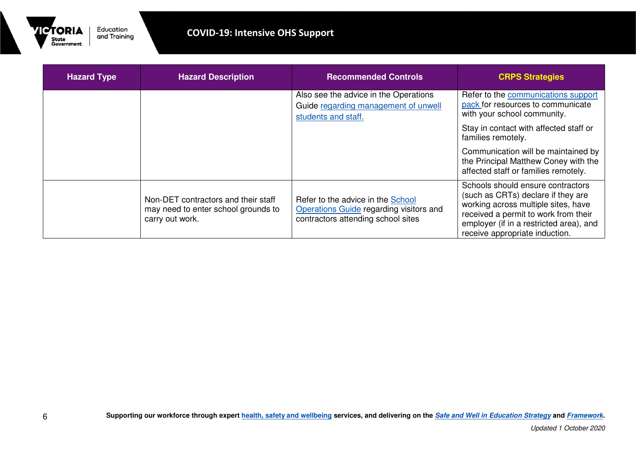

| <b>Hazard Type</b> | <b>Hazard Description</b>                                                                     | <b>Recommended Controls</b>                                                                                        | <b>CRPS Strategies</b>                                                                                                                                                                                                              |
|--------------------|-----------------------------------------------------------------------------------------------|--------------------------------------------------------------------------------------------------------------------|-------------------------------------------------------------------------------------------------------------------------------------------------------------------------------------------------------------------------------------|
|                    |                                                                                               | Also see the advice in the Operations<br>Guide regarding management of unwell<br>students and staff.               | Refer to the communications support<br>pack for resources to communicate<br>with your school community.                                                                                                                             |
|                    |                                                                                               |                                                                                                                    | Stay in contact with affected staff or<br>families remotely.                                                                                                                                                                        |
|                    |                                                                                               |                                                                                                                    | Communication will be maintained by<br>the Principal Matthew Coney with the<br>affected staff or families remotely.                                                                                                                 |
|                    | Non-DET contractors and their staff<br>may need to enter school grounds to<br>carry out work. | Refer to the advice in the School<br>Operations Guide regarding visitors and<br>contractors attending school sites | Schools should ensure contractors<br>(such as CRTs) declare if they are<br>working across multiple sites, have<br>received a permit to work from their<br>employer (if in a restricted area), and<br>receive appropriate induction. |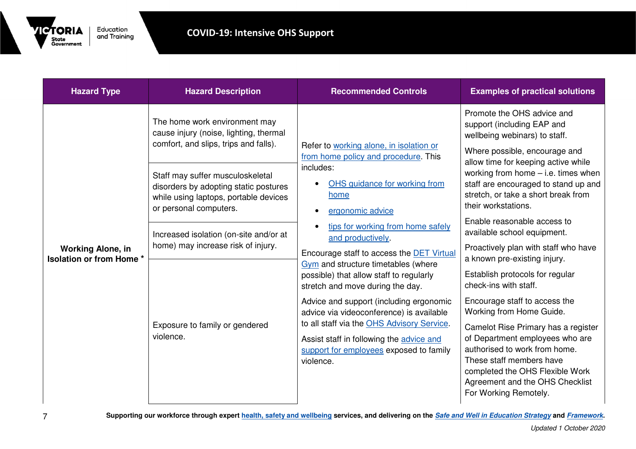

| <b>Hazard Type</b>                                          | <b>Hazard Description</b>                                                                                                                                                                                                                                             | <b>Recommended Controls</b>                                                                                                                                                                                                                                                                                                                                                                                                                                                                       | <b>Examples of practical solutions</b>                                                                                                                                                                                                                                                                                                                                                                                                                                             |
|-------------------------------------------------------------|-----------------------------------------------------------------------------------------------------------------------------------------------------------------------------------------------------------------------------------------------------------------------|---------------------------------------------------------------------------------------------------------------------------------------------------------------------------------------------------------------------------------------------------------------------------------------------------------------------------------------------------------------------------------------------------------------------------------------------------------------------------------------------------|------------------------------------------------------------------------------------------------------------------------------------------------------------------------------------------------------------------------------------------------------------------------------------------------------------------------------------------------------------------------------------------------------------------------------------------------------------------------------------|
|                                                             | The home work environment may<br>cause injury (noise, lighting, thermal                                                                                                                                                                                               |                                                                                                                                                                                                                                                                                                                                                                                                                                                                                                   | Promote the OHS advice and<br>support (including EAP and<br>wellbeing webinars) to staff.                                                                                                                                                                                                                                                                                                                                                                                          |
| <b>Working Alone, in</b><br><b>Isolation or from Home *</b> | comfort, and slips, trips and falls).<br>Staff may suffer musculoskeletal<br>disorders by adopting static postures<br>while using laptops, portable devices<br>or personal computers.<br>Increased isolation (on-site and/or at<br>home) may increase risk of injury. | Refer to working alone, in isolation or<br>from home policy and procedure. This<br>includes:<br>OHS guidance for working from<br>home<br>ergonomic advice<br>$\bullet$<br>tips for working from home safely<br>and productively.<br>Encourage staff to access the <b>DET Virtual</b><br>Gym and structure timetables (where<br>possible) that allow staff to regularly<br>stretch and move during the day.<br>Advice and support (including ergonomic<br>advice via videoconference) is available | Where possible, encourage and<br>allow time for keeping active while<br>working from home $-$ i.e. times when<br>staff are encouraged to stand up and<br>stretch, or take a short break from<br>their workstations.<br>Enable reasonable access to<br>available school equipment.<br>Proactively plan with staff who have<br>a known pre-existing injury.<br>Establish protocols for regular<br>check-ins with staff.<br>Encourage staff to access the<br>Working from Home Guide. |
|                                                             | Exposure to family or gendered<br>violence.                                                                                                                                                                                                                           | to all staff via the OHS Advisory Service.<br>Assist staff in following the advice and<br>support for employees exposed to family<br>violence.                                                                                                                                                                                                                                                                                                                                                    | Camelot Rise Primary has a register<br>of Department employees who are<br>authorised to work from home.<br>These staff members have<br>completed the OHS Flexible Work<br>Agreement and the OHS Checklist<br>For Working Remotely.                                                                                                                                                                                                                                                 |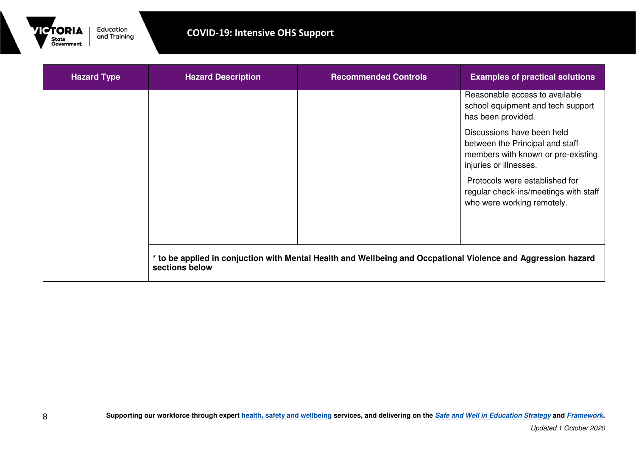

| <b>Hazard Type</b> | <b>Hazard Description</b> | <b>Recommended Controls</b>                                                                                   | <b>Examples of practical solutions</b>                                                                                        |
|--------------------|---------------------------|---------------------------------------------------------------------------------------------------------------|-------------------------------------------------------------------------------------------------------------------------------|
|                    |                           |                                                                                                               | Reasonable access to available<br>school equipment and tech support<br>has been provided.                                     |
|                    |                           |                                                                                                               | Discussions have been held<br>between the Principal and staff<br>members with known or pre-existing<br>injuries or illnesses. |
|                    |                           |                                                                                                               | Protocols were established for<br>regular check-ins/meetings with staff<br>who were working remotely.                         |
|                    | sections below            | * to be applied in conjuction with Mental Health and Wellbeing and Occpational Violence and Aggression hazard |                                                                                                                               |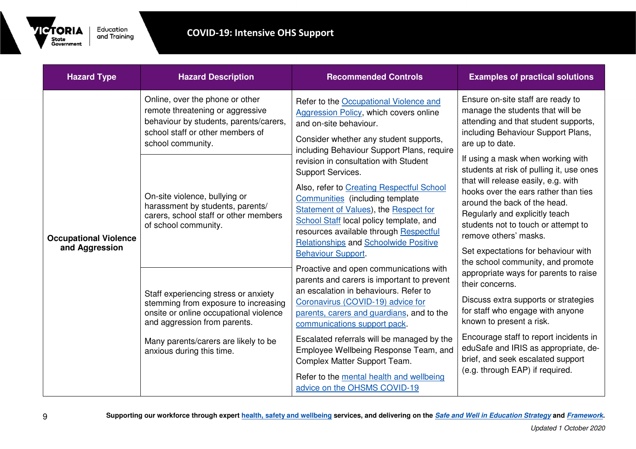

| <b>Hazard Type</b>                             | <b>Hazard Description</b>                                                                                                                                                                                                                                                                                                                                                                                                                                                                                                                   | <b>Recommended Controls</b>                                                                                                                                                                                                                                                                                                                                                                                                                                                                                                                                                                                                                                                                                                                                                                                                                                                                                                                                                                                             | <b>Examples of practical solutions</b>                                                                                                                                                                                                                                                                                                                                                                                                                                                                                                                                                                                                                                                                                                                                                                                                                                             |
|------------------------------------------------|---------------------------------------------------------------------------------------------------------------------------------------------------------------------------------------------------------------------------------------------------------------------------------------------------------------------------------------------------------------------------------------------------------------------------------------------------------------------------------------------------------------------------------------------|-------------------------------------------------------------------------------------------------------------------------------------------------------------------------------------------------------------------------------------------------------------------------------------------------------------------------------------------------------------------------------------------------------------------------------------------------------------------------------------------------------------------------------------------------------------------------------------------------------------------------------------------------------------------------------------------------------------------------------------------------------------------------------------------------------------------------------------------------------------------------------------------------------------------------------------------------------------------------------------------------------------------------|------------------------------------------------------------------------------------------------------------------------------------------------------------------------------------------------------------------------------------------------------------------------------------------------------------------------------------------------------------------------------------------------------------------------------------------------------------------------------------------------------------------------------------------------------------------------------------------------------------------------------------------------------------------------------------------------------------------------------------------------------------------------------------------------------------------------------------------------------------------------------------|
| <b>Occupational Violence</b><br>and Aggression | Online, over the phone or other<br>remote threatening or aggressive<br>behaviour by students, parents/carers,<br>school staff or other members of<br>school community.<br>On-site violence, bullying or<br>harassment by students, parents/<br>carers, school staff or other members<br>of school community.<br>Staff experiencing stress or anxiety<br>stemming from exposure to increasing<br>onsite or online occupational violence<br>and aggression from parents.<br>Many parents/carers are likely to be<br>anxious during this time. | Refer to the Occupational Violence and<br><b>Aggression Policy, which covers online</b><br>and on-site behaviour.<br>Consider whether any student supports,<br>including Behaviour Support Plans, require<br>revision in consultation with Student<br>Support Services.<br>Also, refer to Creating Respectful School<br>Communities (including template<br>Statement of Values), the Respect for<br>School Staff local policy template, and<br>resources available through Respectful<br><b>Relationships and Schoolwide Positive</b><br><b>Behaviour Support</b><br>Proactive and open communications with<br>parents and carers is important to prevent<br>an escalation in behaviours. Refer to<br>Coronavirus (COVID-19) advice for<br>parents, carers and guardians, and to the<br>communications support pack.<br>Escalated referrals will be managed by the<br>Employee Wellbeing Response Team, and<br>Complex Matter Support Team.<br>Refer to the mental health and wellbeing<br>advice on the OHSMS COVID-19 | Ensure on-site staff are ready to<br>manage the students that will be<br>attending and that student supports,<br>including Behaviour Support Plans,<br>are up to date.<br>If using a mask when working with<br>students at risk of pulling it, use ones<br>that will release easily, e.g. with<br>hooks over the ears rather than ties<br>around the back of the head.<br>Regularly and explicitly teach<br>students not to touch or attempt to<br>remove others' masks.<br>Set expectations for behaviour with<br>the school community, and promote<br>appropriate ways for parents to raise<br>their concerns.<br>Discuss extra supports or strategies<br>for staff who engage with anyone<br>known to present a risk.<br>Encourage staff to report incidents in<br>eduSafe and IRIS as appropriate, de-<br>brief, and seek escalated support<br>(e.g. through EAP) if required. |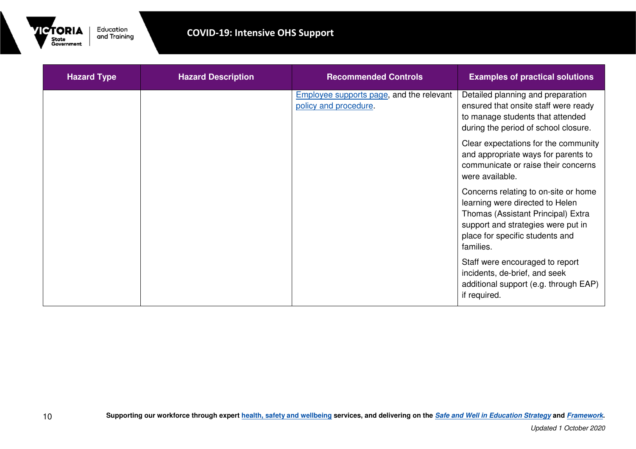

| <b>Hazard Type</b> | <b>Hazard Description</b> | <b>Recommended Controls</b>                                              | <b>Examples of practical solutions</b>                                                                                                                                                              |
|--------------------|---------------------------|--------------------------------------------------------------------------|-----------------------------------------------------------------------------------------------------------------------------------------------------------------------------------------------------|
|                    |                           | <b>Employee supports page, and the relevant</b><br>policy and procedure. | Detailed planning and preparation<br>ensured that onsite staff were ready<br>to manage students that attended<br>during the period of school closure.                                               |
|                    |                           |                                                                          | Clear expectations for the community<br>and appropriate ways for parents to<br>communicate or raise their concerns<br>were available.                                                               |
|                    |                           |                                                                          | Concerns relating to on-site or home<br>learning were directed to Helen<br>Thomas (Assistant Principal) Extra<br>support and strategies were put in<br>place for specific students and<br>families. |
|                    |                           |                                                                          | Staff were encouraged to report<br>incidents, de-brief, and seek<br>additional support (e.g. through EAP)<br>if required.                                                                           |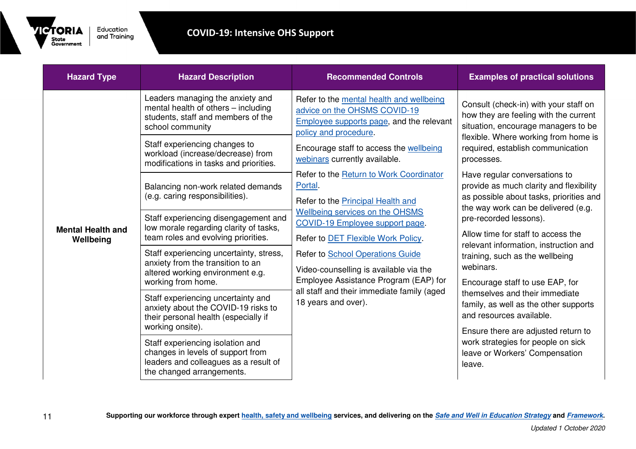

| <b>Hazard Type</b>                    | <b>Hazard Description</b>                                                                                                                                                                                                                                                                                                                                                      | <b>Recommended Controls</b>                                                                                                                                                                                                                                                                                                                                                                            | <b>Examples of practical solutions</b>                                                                                                                                                                                                                                                                                                                                                                                            |
|---------------------------------------|--------------------------------------------------------------------------------------------------------------------------------------------------------------------------------------------------------------------------------------------------------------------------------------------------------------------------------------------------------------------------------|--------------------------------------------------------------------------------------------------------------------------------------------------------------------------------------------------------------------------------------------------------------------------------------------------------------------------------------------------------------------------------------------------------|-----------------------------------------------------------------------------------------------------------------------------------------------------------------------------------------------------------------------------------------------------------------------------------------------------------------------------------------------------------------------------------------------------------------------------------|
|                                       | Leaders managing the anxiety and<br>mental health of others - including<br>students, staff and members of the<br>school community<br>Staff experiencing changes to                                                                                                                                                                                                             | Refer to the mental health and wellbeing<br>advice on the OHSMS COVID-19<br><b>Employee supports page, and the relevant</b><br>policy and procedure.                                                                                                                                                                                                                                                   | Consult (check-in) with your staff on<br>how they are feeling with the current<br>situation, encourage managers to be<br>flexible. Where working from home is                                                                                                                                                                                                                                                                     |
|                                       | workload (increase/decrease) from<br>modifications in tasks and priorities.                                                                                                                                                                                                                                                                                                    | Encourage staff to access the wellbeing<br>webinars currently available.                                                                                                                                                                                                                                                                                                                               | required, establish communication<br>processes.                                                                                                                                                                                                                                                                                                                                                                                   |
| <b>Mental Health and</b><br>Wellbeing | Balancing non-work related demands<br>(e.g. caring responsibilities).<br>Staff experiencing disengagement and<br>low morale regarding clarity of tasks,<br>team roles and evolving priorities.<br>Staff experiencing uncertainty, stress,<br>anxiety from the transition to an<br>altered working environment e.g.<br>working from home.<br>Staff experiencing uncertainty and | Refer to the Return to Work Coordinator<br>Portal.<br>Refer to the Principal Health and<br><b>Wellbeing services on the OHSMS</b><br>COVID-19 Employee support page.<br>Refer to DET Flexible Work Policy.<br>Refer to School Operations Guide<br>Video-counselling is available via the<br>Employee Assistance Program (EAP) for<br>all staff and their immediate family (aged<br>18 years and over). | Have regular conversations to<br>provide as much clarity and flexibility<br>as possible about tasks, priorities and<br>the way work can be delivered (e.g.<br>pre-recorded lessons).<br>Allow time for staff to access the<br>relevant information, instruction and<br>training, such as the wellbeing<br>webinars.<br>Encourage staff to use EAP, for<br>themselves and their immediate<br>family, as well as the other supports |
|                                       | anxiety about the COVID-19 risks to<br>their personal health (especially if<br>working onsite).                                                                                                                                                                                                                                                                                |                                                                                                                                                                                                                                                                                                                                                                                                        | and resources available.<br>Ensure there are adjusted return to                                                                                                                                                                                                                                                                                                                                                                   |
|                                       | Staff experiencing isolation and<br>changes in levels of support from<br>leaders and colleagues as a result of<br>the changed arrangements.                                                                                                                                                                                                                                    |                                                                                                                                                                                                                                                                                                                                                                                                        | work strategies for people on sick<br>leave or Workers' Compensation<br>leave.                                                                                                                                                                                                                                                                                                                                                    |